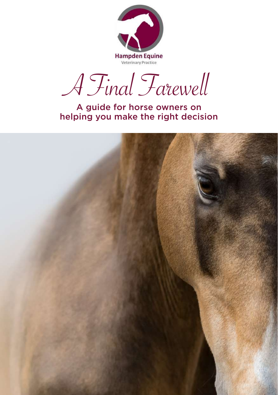

A Final Farewell

A guide for horse owners on helping you make the right decision

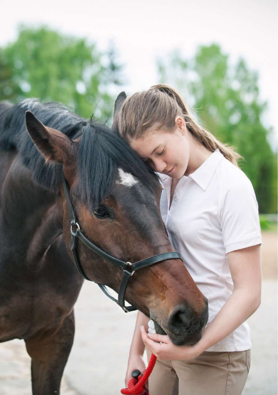![](_page_1_Picture_0.jpeg)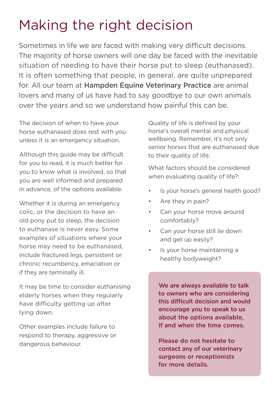# Making the right decision

Sometimes in life we are faced with making very difficult decisions. The majority of horse owners will one day be faced with the inevitable situation of needing to have their horse put to sleep (euthanased). It is often something that people, in general, are quite unprepared for. All our team at Hampden Equine Veterinary Practice are animal lovers and many of us have had to say goodbye to our own animals over the years and so we understand how painful this can be.

The decision of when to have your horse euthanased does rest with you unless it is an emergency situation.

Although this guide may be difficult for you to read, it is much better for you to know what is involved, so that you are well informed and prepared in advance, of the options available.

Whether it is during an emergency colic, or the decision to have an old pony put to sleep, the decision to euthanase is never easy. Some examples of situations where your horse may need to be euthanased, include fractured legs, persistent or chronic recumbency, emaciation or if they are terminally ill.

It may be time to consider euthanising elderly horses when they regularly have difficulty getting up after lying down.

Other examples include failure to respond to therapy, aggressive or dangerous behaviour.

Quality of life is defined by your horse's overall mental and physical wellbeing. Remember, it's not only senior horses that are euthanased due to their quality of life.

What factors should be considered when evaluating quality of life?:

- Is your horse's general health good?
- Are they in pain?
- Can your horse move around comfortably?
- Can your horse still lie down and get up easily?
- Is your horse maintaining a healthy bodyweight?

We are always available to talk to owners who are considering this difficult decision and would encourage you to speak to us about the options available, if and when the time comes.

Please do not hesitate to contact any of our veterinary surgeons or receptionists for more details.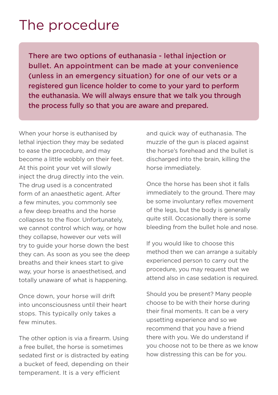## The procedure

There are two options of euthanasia - lethal injection or bullet. An appointment can be made at your convenience (unless in an emergency situation) for one of our vets or a registered gun licence holder to come to your yard to perform the euthanasia. We will always ensure that we talk you through the process fully so that you are aware and prepared.

When your horse is euthanised by lethal injection they may be sedated to ease the procedure, and may become a little wobbly on their feet. At this point your vet will slowly inject the drug directly into the vein. The drug used is a concentrated form of an anaesthetic agent. After a few minutes, you commonly see a few deep breaths and the horse collapses to the floor. Unfortunately, we cannot control which way, or how they collapse, however our vets will try to guide your horse down the best they can. As soon as you see the deep breaths and their knees start to give way, your horse is anaesthetised, and totally unaware of what is happening.

Once down, your horse will drift into unconsciousness until their heart stops. This typically only takes a few minutes.

The other option is via a firearm. Using a free bullet, the horse is sometimes sedated first or is distracted by eating a bucket of feed, depending on their temperament. It is a very efficient

and quick way of euthanasia. The muzzle of the gun is placed against the horse's forehead and the bullet is discharged into the brain, killing the horse immediately.

Once the horse has been shot it falls immediately to the ground. There may be some involuntary reflex movement of the legs, but the body is generally quite still. Occasionally there is some bleeding from the bullet hole and nose.

If you would like to choose this method then we can arrange a suitably experienced person to carry out the procedure, you may request that we attend also in case sedation is required.

Should you be present? Many people choose to be with their horse during their final moments. It can be a very upsetting experience and so we recommend that you have a friend there with you. We do understand if you choose not to be there as we know how distressing this can be for you.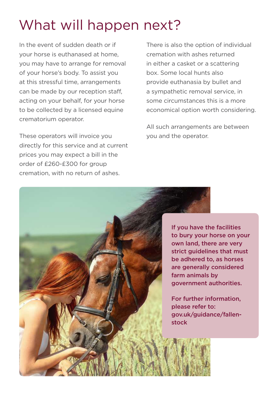## What will happen next?

In the event of sudden death or if your horse is euthanased at home, you may have to arrange for removal of your horse's body. To assist you at this stressful time, arrangements can be made by our reception staff, acting on your behalf, for your horse to be collected by a licensed equine crematorium operator.

These operators will invoice you directly for this service and at current prices you may expect a bill in the order of £260-£300 for group cremation, with no return of ashes.

There is also the option of individual cremation with ashes returned in either a casket or a scattering box. Some local hunts also provide euthanasia by bullet and a sympathetic removal service, in some circumstances this is a more economical option worth considering.

All such arrangements are between you and the operator.

> If you have the facilities to bury your horse on your own land, there are very strict quidelines that must be adhered to, as horses are generally considered farm animals by government authorities.

For further information, please refer to: gov.uk/guidance/fallenstock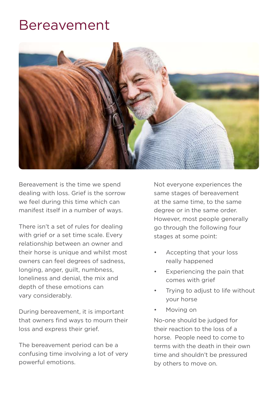### Bereavement

![](_page_5_Picture_1.jpeg)

Bereavement is the time we spend dealing with loss. Grief is the sorrow we feel during this time which can manifest itself in a number of ways.

There isn't a set of rules for dealing with grief or a set time scale. Every relationship between an owner and their horse is unique and whilst most owners can feel degrees of sadness, longing, anger, guilt, numbness, loneliness and denial, the mix and depth of these emotions can vary considerably.

During bereavement, it is important that owners find ways to mourn their loss and express their grief.

The bereavement period can be a confusing time involving a lot of very powerful emotions.

Not everyone experiences the same stages of bereavement at the same time, to the same degree or in the same order. However, most people generally go through the following four stages at some point:

- Accepting that your loss really happened
- Experiencing the pain that comes with grief
- Trying to adjust to life without your horse
- Moving on

No-one should be judged for their reaction to the loss of a horse. People need to come to terms with the death in their own time and shouldn't be pressured by others to move on.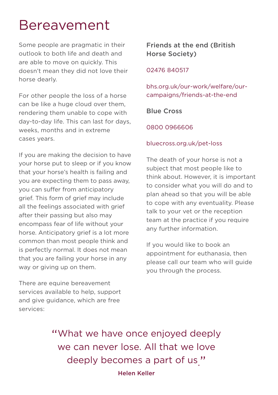#### Bereavement

Some people are pragmatic in their outlook to both life and death and are able to move on quickly. This doesn't mean they did not love their horse dearly.

For other people the loss of a horse can be like a huge cloud over them, rendering them unable to cope with day-to-day life. This can last for days, weeks, months and in extreme cases years.

If you are making the decision to have your horse put to sleep or if you know that your horse's health is failing and you are expecting them to pass away, you can suffer from anticipatory grief. This form of grief may include all the feelings associated with grief after their passing but also may encompass fear of life without your horse. Anticipatory grief is a lot more common than most people think and is perfectly normal. It does not mean that you are failing your horse in any way or giving up on them.

There are equine bereavement services available to help, support and give guidance, which are free services:

Friends at the end (British Horse Society)

02476 840517

bhs.org.uk/our-work/welfare/ourcampaigns/friends-at-the-end

Blue Cross

0800 0966606

#### bluecross.org.uk/pet-loss

The death of your horse is not a subject that most people like to think about. However, it is important to consider what you will do and to plan ahead so that you will be able to cope with any eventuality. Please talk to your vet or the reception team at the practice if you require any further information.

If you would like to book an appointment for euthanasia, then please call our team who will quide you through the process.

"What we have once enjoyed deeply we can never lose. All that we love deeply becomes a part of us" Helen Keller